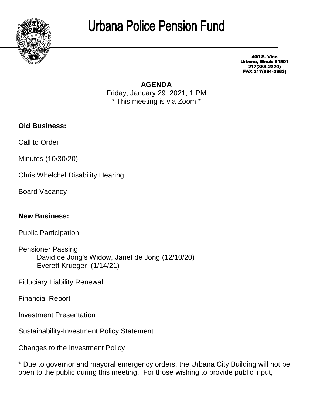

## **Urbana Police Pension Fund**

**400 S. Vine** Urbana, Illinois 61801 217(384-2320) FAX 217(384-2363)

## **AGENDA**

Friday, January 29. 2021, 1 PM \* This meeting is via Zoom \*

**Old Business:**

Call to Order

Minutes (10/30/20)

Chris Whelchel Disability Hearing

Board Vacancy

**New Business:**

Public Participation

Pensioner Passing: David de Jong's Widow, Janet de Jong (12/10/20) Everett Krueger (1/14/21)

Fiduciary Liability Renewal

Financial Report

Investment Presentation

Sustainability-Investment Policy Statement

Changes to the Investment Policy

\* Due to governor and mayoral emergency orders, the Urbana City Building will not be open to the public during this meeting. For those wishing to provide public input,